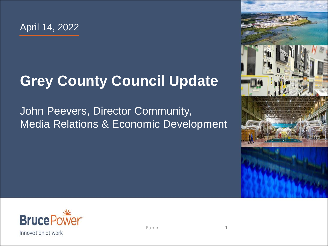#### **Grey County Council Update**

#### John Peevers, Director Community, Media Relations & Economic Development



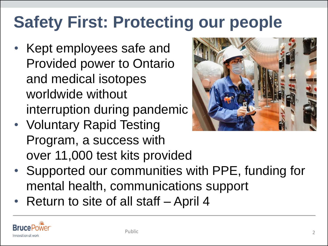## **Safety First: Protecting our people**

- Kept employees safe and Provided power to Ontario and medical isotopes worldwide without interruption during pandemic
- Voluntary Rapid Testing Program, a success with over 11,000 test kits provided



- Supported our communities with PPE, funding for mental health, communications support
- Return to site of all staff April 4

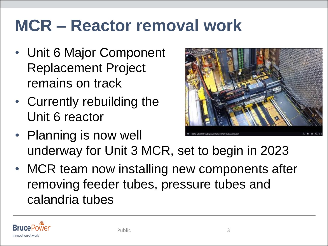## **MCR – Reactor removal work**

- Unit 6 Major Component Replacement Project remains on track
- Currently rebuilding the Unit 6 reactor



- Planning is now well underway for Unit 3 MCR, set to begin in 2023
- MCR team now installing new components after removing feeder tubes, pressure tubes and calandria tubes

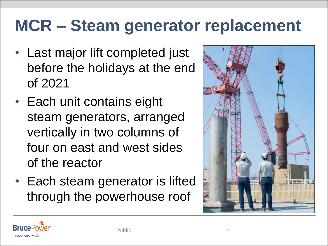## **MCR – Steam generator replacement**

- Last major lift completed just before the holidays at the end of 2021
- Each unit contains eight steam generators, arranged vertically in two columns of four on east and west sides of the reactor
- Each steam generator is lifted through the powerhouse roof



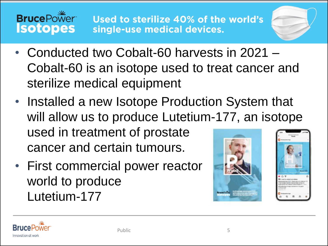



- Conducted two Cobalt-60 harvests in 2021 Cobalt-60 is an isotope used to treat cancer and sterilize medical equipment
- Installed a new Isotope Production System that will allow us to produce Lutetium-177, an isotope used in treatment of prostate cancer and certain tumours.
- First commercial power reactor world to produce Lutetium-177





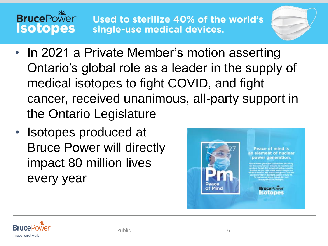#### **BrucePower Isotopes**

Used to sterilize 40% of the world's single-use medical devices.

- In 2021 a Private Member's motion asserting Ontario's global role as a leader in the supply of medical isotopes to fight COVID, and fight cancer, received unanimous, all-party support in the Ontario Legislature
- Isotopes produced at Bruce Power will directly impact 80 million lives every year



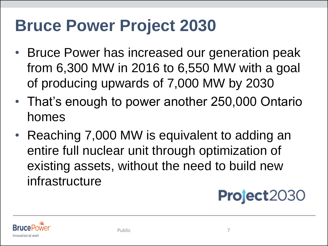## **Bruce Power Project 2030**

- Bruce Power has increased our generation peak from 6,300 MW in 2016 to 6,550 MW with a goal of producing upwards of 7,000 MW by 2030
- That's enough to power another 250,000 Ontario homes
- Reaching 7,000 MW is equivalent to adding an entire full nuclear unit through optimization of existing assets, without the need to build new infrastructure

#### **Project2030**

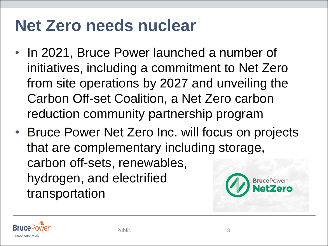## **Net Zero needs nuclear**

- In 2021, Bruce Power launched a number of initiatives, including a commitment to Net Zero from site operations by 2027 and unveiling the Carbon Off-set Coalition, a Net Zero carbon reduction community partnership program
- Bruce Power Net Zero Inc. will focus on projects that are complementary including storage, carbon off-sets, renewables, hydrogen, and electrified **Bruce** Power transportation

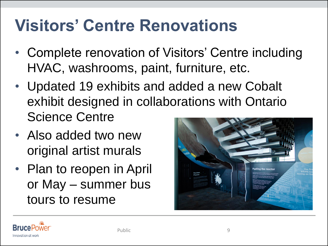## **Visitors' Centre Renovations**

- Complete renovation of Visitors' Centre including HVAC, washrooms, paint, furniture, etc.
- Updated 19 exhibits and added a new Cobalt exhibit designed in collaborations with Ontario Science Centre
- Also added two new original artist murals
- Plan to reopen in April or May – summer bus tours to resume



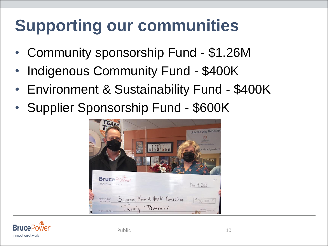# **Supporting our communities**

- Community sponsorship Fund \$1.26M
- Indigenous Community Fund \$400K
- Environment & Sustainability Fund \$400K
- Supplier Sponsorship Fund \$600K



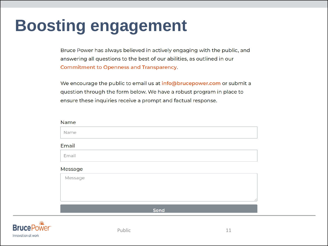## **Boosting engagement**

Bruce Power has always believed in actively engaging with the public, and answering all questions to the best of our abilities, as outlined in our **Commitment to Openness and Transparency.** 

We encourage the public to email us at info@brucepower.com or submit a question through the form below. We have a robust program in place to ensure these inquiries receive a prompt and factual response.

| Name    |      |
|---------|------|
| Name    |      |
| Email   |      |
| Email   |      |
| Message |      |
| Message |      |
|         |      |
|         |      |
|         | Send |